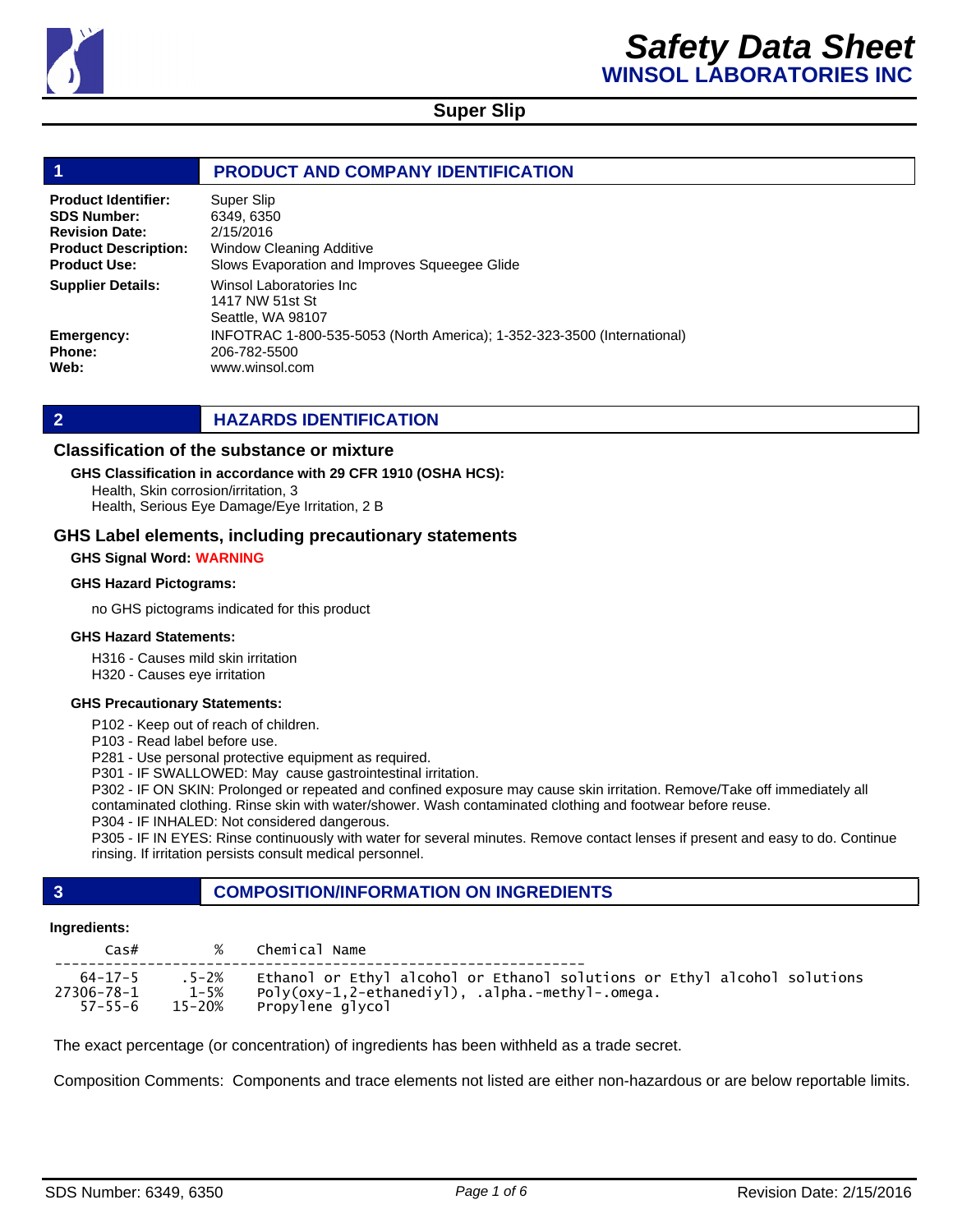

#### **1 PRODUCT AND COMPANY IDENTIFICATION** Winsol Laboratories Inc 1417 NW 51st St Seattle, WA 98107 INFOTRAC 1-800-535-5053 (North America); 1-352-323-3500 (International) 206-782-5500 www.winsol.com Super Slip 6349, 6350 2/15/2016 Window Cleaning Additive Slows Evaporation and Improves Squeegee Glide **Product Identifier: SDS Number: Revision Date: Product Description: Product Use: Emergency: Phone: Web: Supplier Details:**

### **2 HAZARDS IDENTIFICATION**

### **Classification of the substance or mixture**

### **GHS Classification in accordance with 29 CFR 1910 (OSHA HCS):**

Health, Skin corrosion/irritation, 3 Health, Serious Eye Damage/Eye Irritation, 2 B

### **GHS Label elements, including precautionary statements**

#### **GHS Signal Word: WARNING**

#### **GHS Hazard Pictograms:**

no GHS pictograms indicated for this product

#### **GHS Hazard Statements:**

H316 - Causes mild skin irritation

H320 - Causes eye irritation

#### **GHS Precautionary Statements:**

P102 - Keep out of reach of children.

P103 - Read label before use.

P281 - Use personal protective equipment as required.

P301 - IF SWALLOWED: May cause gastrointestinal irritation.

P302 - IF ON SKIN: Prolonged or repeated and confined exposure may cause skin irritation. Remove/Take off immediately all contaminated clothing. Rinse skin with water/shower. Wash contaminated clothing and footwear before reuse.

P304 - IF INHALED: Not considered dangerous.

P305 - IF IN EYES: Rinse continuously with water for several minutes. Remove contact lenses if present and easy to do. Continue rinsing. If irritation persists consult medical personnel.

### **3 COMPOSITION/INFORMATION ON INGREDIENTS**

#### **Ingredients:**

| $\textsf{Cas}\#$ | %         | Chemical Name                                                            |
|------------------|-----------|--------------------------------------------------------------------------|
| $64 - 17 - 5$    | $.5 - 2%$ | Ethanol or Ethyl alcohol or Ethanol solutions or Ethyl alcohol solutions |
| 27306-78-1       | $1 - 5%$  | Poly(oxy-1,2-ethanediyl), .alpha.-methyl-.omega.                         |
| $57 - 55 - 6$    | 15-20%    | Propylene alvcol                                                         |

The exact percentage (or concentration) of ingredients has been withheld as a trade secret.

Composition Comments: Components and trace elements not listed are either non-hazardous or are below reportable limits.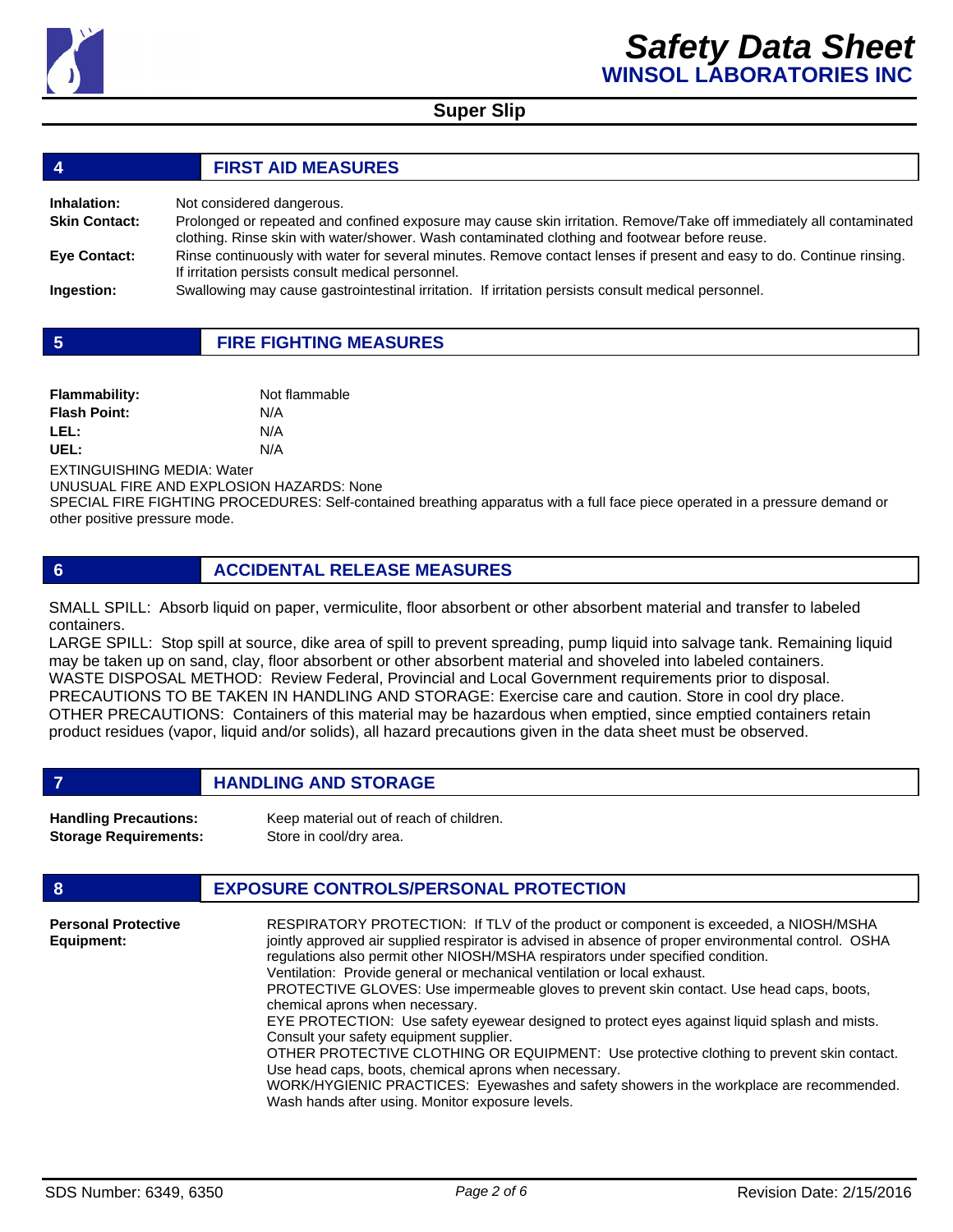

| $\overline{4}$       | <b>FIRST AID MEASURES</b>                                                                                                                                                                                            |
|----------------------|----------------------------------------------------------------------------------------------------------------------------------------------------------------------------------------------------------------------|
| Inhalation:          | Not considered dangerous.                                                                                                                                                                                            |
| <b>Skin Contact:</b> | Prolonged or repeated and confined exposure may cause skin irritation. Remove/Take off immediately all contaminated<br>clothing. Rinse skin with water/shower. Wash contaminated clothing and footwear before reuse. |
| <b>Eye Contact:</b>  | Rinse continuously with water for several minutes. Remove contact lenses if present and easy to do. Continue rinsing.<br>If irritation persists consult medical personnel.                                           |
| Ingestion:           | Swallowing may cause gastrointestinal irritation. If irritation persists consult medical personnel.                                                                                                                  |

|  | <b>FIRE FIGHTING MEASURES</b> |
|--|-------------------------------|
|--|-------------------------------|

| <b>Flammability:</b> | Not flammable |
|----------------------|---------------|
| <b>Flash Point:</b>  | N/A           |
| LEL:                 | N/A           |
| UEL:                 | N/A           |

EXTINGUISHING MEDIA: Water

UNUSUAL FIRE AND EXPLOSION HAZARDS: None

SPECIAL FIRE FIGHTING PROCEDURES: Self-contained breathing apparatus with a full face piece operated in a pressure demand or other positive pressure mode.

**6 ACCIDENTAL RELEASE MEASURES**

SMALL SPILL: Absorb liquid on paper, vermiculite, floor absorbent or other absorbent material and transfer to labeled containers.

LARGE SPILL: Stop spill at source, dike area of spill to prevent spreading, pump liquid into salvage tank. Remaining liquid may be taken up on sand, clay, floor absorbent or other absorbent material and shoveled into labeled containers. WASTE DISPOSAL METHOD: Review Federal, Provincial and Local Government requirements prior to disposal. PRECAUTIONS TO BE TAKEN IN HANDLING AND STORAGE: Exercise care and caution. Store in cool dry place. OTHER PRECAUTIONS: Containers of this material may be hazardous when emptied, since emptied containers retain product residues (vapor, liquid and/or solids), all hazard precautions given in the data sheet must be observed.

**FIGURE 12 IN STORAGE** 

| <b>Handling Precautions:</b> | Keep material out of reach of children. |
|------------------------------|-----------------------------------------|
| <b>Storage Requirements:</b> | Store in cool/dry area.                 |

| <b>EXPOSURE CONTROLS/PERSONAL PROTECTION</b> |
|----------------------------------------------|
|----------------------------------------------|

| <b>Personal Protective</b> | RESPIRATORY PROTECTION: If TLV of the product or component is exceeded, a NIOSH/MSHA                 |
|----------------------------|------------------------------------------------------------------------------------------------------|
| Equipment:                 | jointly approved air supplied respirator is advised in absence of proper environmental control. OSHA |
|                            | regulations also permit other NIOSH/MSHA respirators under specified condition.                      |
|                            | Ventilation: Provide general or mechanical ventilation or local exhaust.                             |
|                            | <b>PROTECTIVE GLOVES: Use impermeable gloves to prevent skin contact. Use head caps, boots,</b>      |
|                            | chemical aprons when necessary.                                                                      |
|                            | EYE PROTECTION: Use safety eyewear designed to protect eyes against liquid splash and mists.         |
|                            | Consult your safety equipment supplier.                                                              |
|                            | OTHER PROTECTIVE CLOTHING OR EQUIPMENT: Use protective clothing to prevent skin contact.             |
|                            | Use head caps, boots, chemical aprons when necessary.                                                |
|                            | WORK/HYGIENIC PRACTICES: Eyewashes and safety showers in the workplace are recommended.              |
|                            | Wash hands after using. Monitor exposure levels.                                                     |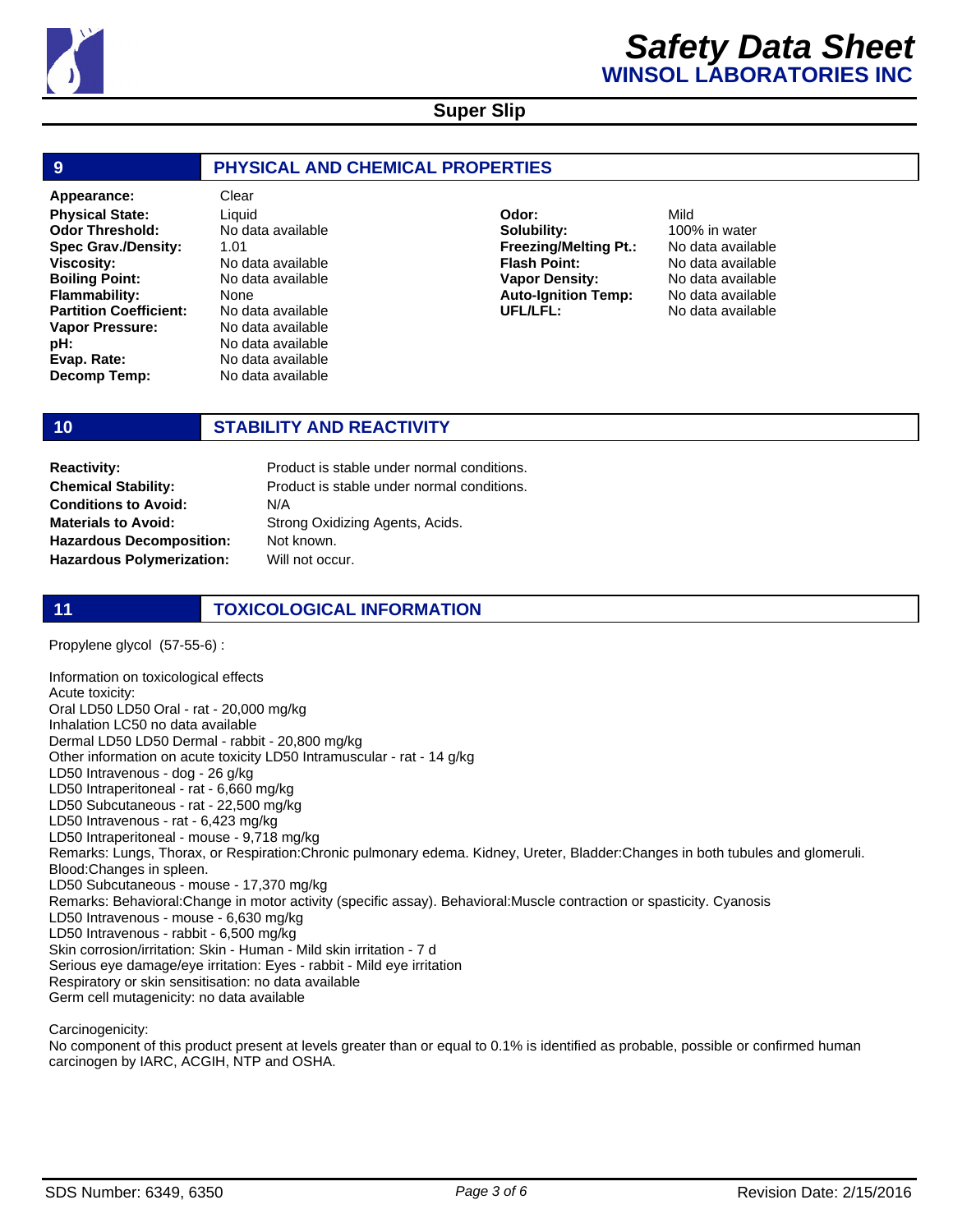

| 9                                                                                                                                                                                                                                                                    | PHYSICAL AND CHEMICAL PROPERTIES                                                                                                                                                                        |                                                                                                                                                |                                                                                                                                |  |
|----------------------------------------------------------------------------------------------------------------------------------------------------------------------------------------------------------------------------------------------------------------------|---------------------------------------------------------------------------------------------------------------------------------------------------------------------------------------------------------|------------------------------------------------------------------------------------------------------------------------------------------------|--------------------------------------------------------------------------------------------------------------------------------|--|
| Appearance:<br><b>Physical State:</b><br><b>Odor Threshold:</b><br><b>Spec Grav./Density:</b><br><b>Viscosity:</b><br><b>Boiling Point:</b><br><b>Flammability:</b><br><b>Partition Coefficient:</b><br>Vapor Pressure:<br>pH:<br>Evap. Rate:<br><b>Decomp Temp:</b> | Clear<br>Liquid<br>No data available<br>1.01<br>No data available<br>No data available<br>None<br>No data available<br>No data available<br>No data available<br>No data available<br>No data available | Odor:<br>Solubility:<br><b>Freezing/Melting Pt.:</b><br><b>Flash Point:</b><br><b>Vapor Density:</b><br><b>Auto-Ignition Temp:</b><br>UFL/LFL: | Mild<br>100% in water<br>No data available<br>No data available<br>No data available<br>No data available<br>No data available |  |

### **10 STABILITY AND REACTIVITY**

**Chemical Stability: Conditions to Avoid: Materials to Avoid: Hazardous Decomposition: Hazardous Polymerization:**

Product is stable under normal conditions. N/A Strong Oxidizing Agents, Acids. Not known. Will not occur. **Reactivity: Product is stable under normal conditions.** 

### **11 TOXICOLOGICAL INFORMATION**

Propylene glycol (57-55-6) :

Information on toxicological effects Acute toxicity: Oral LD50 LD50 Oral - rat - 20,000 mg/kg Inhalation LC50 no data available Dermal LD50 LD50 Dermal - rabbit - 20,800 mg/kg Other information on acute toxicity LD50 Intramuscular - rat - 14 g/kg LD50 Intravenous - dog - 26 g/kg LD50 Intraperitoneal - rat - 6,660 mg/kg LD50 Subcutaneous - rat - 22,500 mg/kg LD50 Intravenous - rat - 6,423 mg/kg LD50 Intraperitoneal - mouse - 9,718 mg/kg Remarks: Lungs, Thorax, or Respiration:Chronic pulmonary edema. Kidney, Ureter, Bladder:Changes in both tubules and glomeruli. Blood:Changes in spleen. LD50 Subcutaneous - mouse - 17,370 mg/kg Remarks: Behavioral:Change in motor activity (specific assay). Behavioral:Muscle contraction or spasticity. Cyanosis LD50 Intravenous - mouse - 6,630 mg/kg LD50 Intravenous - rabbit - 6,500 mg/kg Skin corrosion/irritation: Skin - Human - Mild skin irritation - 7 d Serious eye damage/eye irritation: Eyes - rabbit - Mild eye irritation Respiratory or skin sensitisation: no data available Germ cell mutagenicity: no data available

Carcinogenicity:

No component of this product present at levels greater than or equal to 0.1% is identified as probable, possible or confirmed human carcinogen by IARC, ACGIH, NTP and OSHA.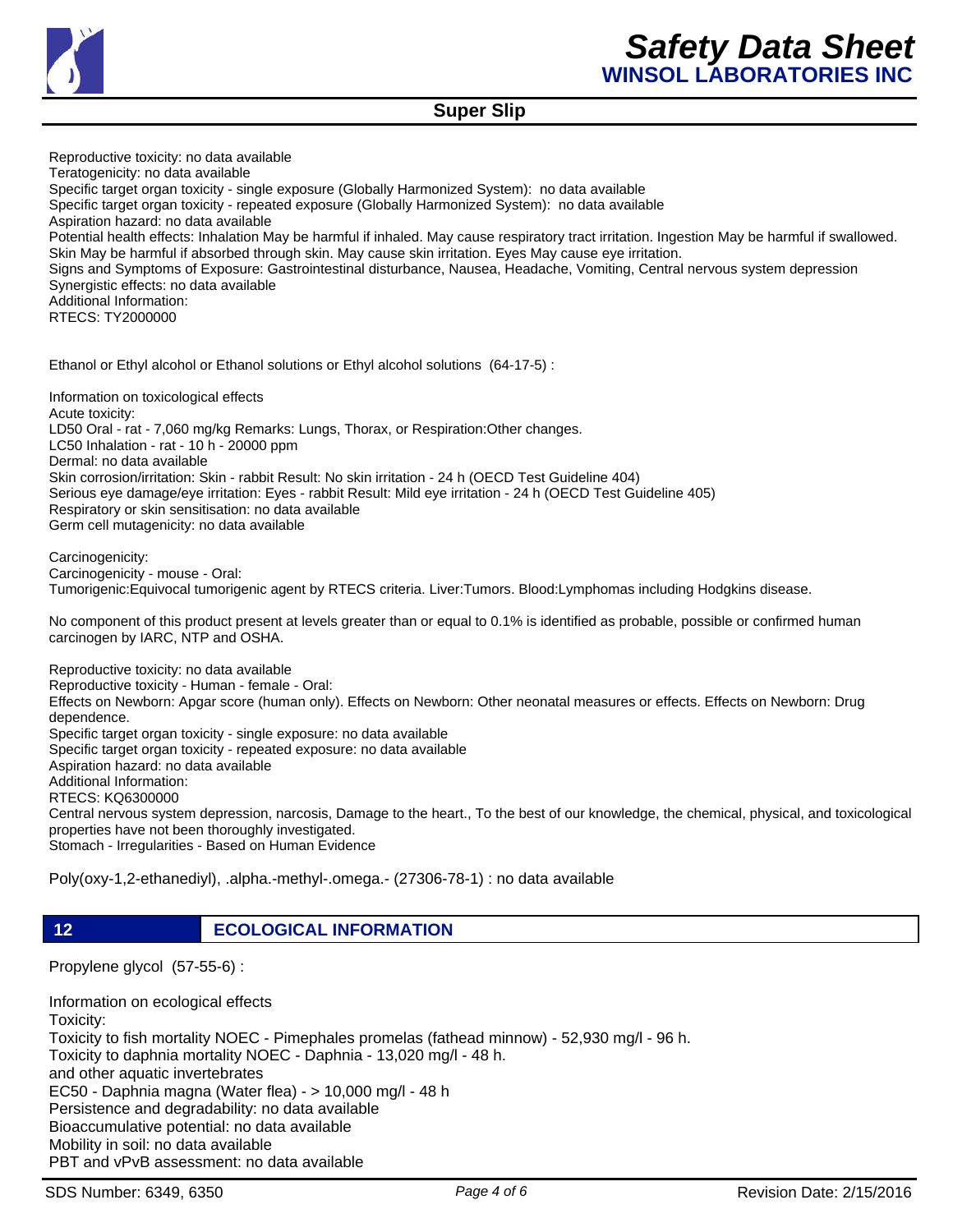

Reproductive toxicity: no data available Teratogenicity: no data available Specific target organ toxicity - single exposure (Globally Harmonized System): no data available Specific target organ toxicity - repeated exposure (Globally Harmonized System): no data available Aspiration hazard: no data available Potential health effects: Inhalation May be harmful if inhaled. May cause respiratory tract irritation. Ingestion May be harmful if swallowed. Skin May be harmful if absorbed through skin. May cause skin irritation. Eyes May cause eye irritation. Signs and Symptoms of Exposure: Gastrointestinal disturbance, Nausea, Headache, Vomiting, Central nervous system depression Synergistic effects: no data available Additional Information: RTECS: TY2000000

Ethanol or Ethyl alcohol or Ethanol solutions or Ethyl alcohol solutions (64-17-5) :

Information on toxicological effects Acute toxicity: LD50 Oral - rat - 7,060 mg/kg Remarks: Lungs, Thorax, or Respiration:Other changes. LC50 Inhalation - rat - 10 h - 20000 ppm Dermal: no data available Skin corrosion/irritation: Skin - rabbit Result: No skin irritation - 24 h (OECD Test Guideline 404) Serious eye damage/eye irritation: Eyes - rabbit Result: Mild eye irritation - 24 h (OECD Test Guideline 405) Respiratory or skin sensitisation: no data available Germ cell mutagenicity: no data available

Carcinogenicity: Carcinogenicity - mouse - Oral: Tumorigenic:Equivocal tumorigenic agent by RTECS criteria. Liver:Tumors. Blood:Lymphomas including Hodgkins disease.

No component of this product present at levels greater than or equal to 0.1% is identified as probable, possible or confirmed human carcinogen by IARC, NTP and OSHA.

Reproductive toxicity: no data available Reproductive toxicity - Human - female - Oral: Effects on Newborn: Apgar score (human only). Effects on Newborn: Other neonatal measures or effects. Effects on Newborn: Drug dependence. Specific target organ toxicity - single exposure: no data available Specific target organ toxicity - repeated exposure: no data available Aspiration hazard: no data available Additional Information: RTECS: KQ6300000 Central nervous system depression, narcosis, Damage to the heart., To the best of our knowledge, the chemical, physical, and toxicological properties have not been thoroughly investigated. Stomach - Irregularities - Based on Human Evidence

Poly(oxy-1,2-ethanediyl), .alpha.-methyl-.omega.- (27306-78-1) : no data available

**12 ECOLOGICAL INFORMATION** 

Propylene glycol (57-55-6) :

Information on ecological effects Toxicity: Toxicity to fish mortality NOEC - Pimephales promelas (fathead minnow) - 52,930 mg/l - 96 h. Toxicity to daphnia mortality NOEC - Daphnia - 13,020 mg/l - 48 h. and other aquatic invertebrates EC50 - Daphnia magna (Water flea) - > 10,000 mg/l - 48 h Persistence and degradability: no data available Bioaccumulative potential: no data available Mobility in soil: no data available PBT and vPvB assessment: no data available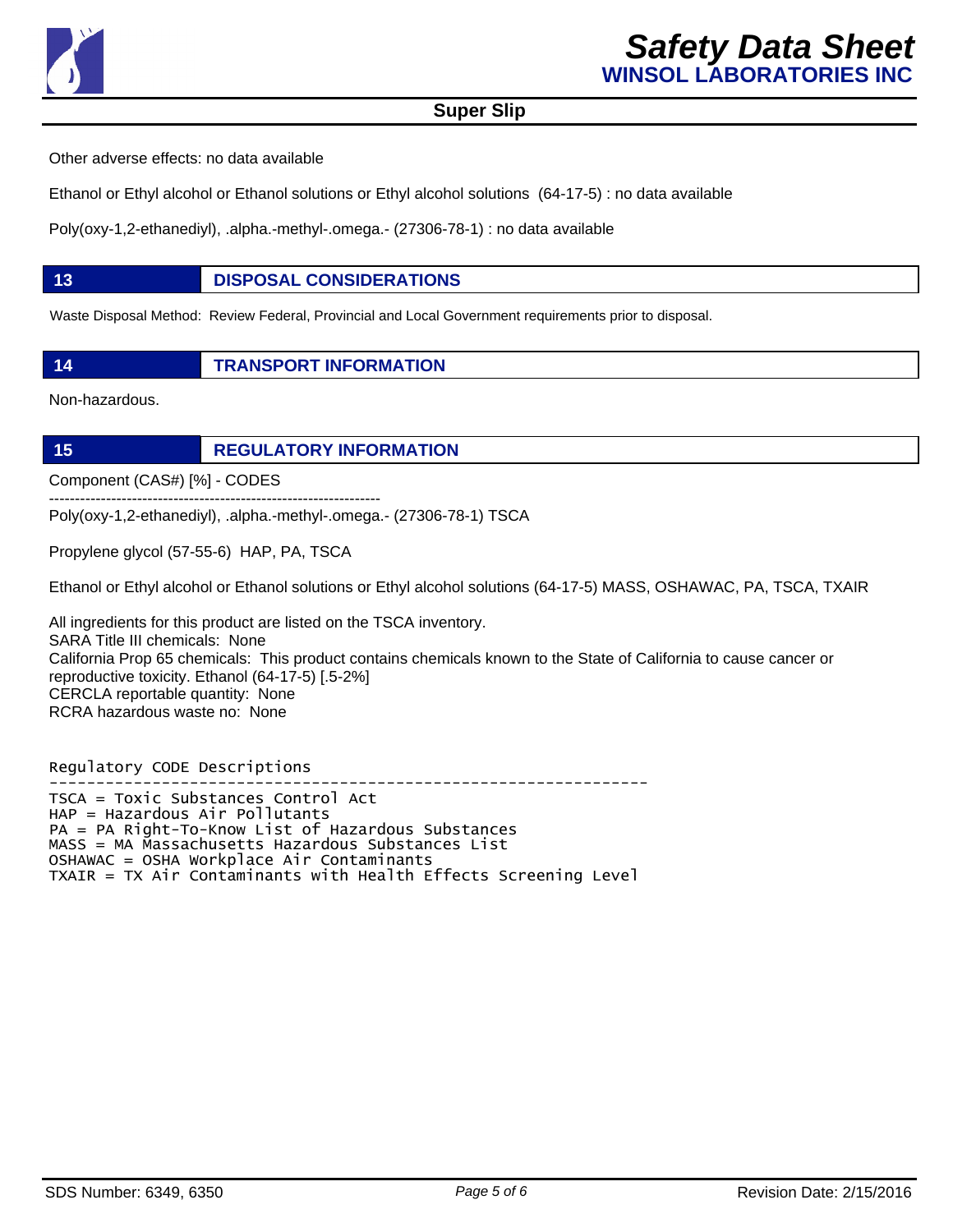

Other adverse effects: no data available

Ethanol or Ethyl alcohol or Ethanol solutions or Ethyl alcohol solutions (64-17-5) : no data available

Poly(oxy-1,2-ethanediyl), .alpha.-methyl-.omega.- (27306-78-1) : no data available

### **13 DISPOSAL CONSIDERATIONS**

Waste Disposal Method: Review Federal, Provincial and Local Government requirements prior to disposal.

**14 TRANSPORT INFORMATION**

Non-hazardous.

**15 REGULATORY INFORMATION**

Component (CAS#) [%] - CODES

Poly(oxy-1,2-ethanediyl), .alpha.-methyl-.omega.- (27306-78-1) TSCA

Propylene glycol (57-55-6) HAP, PA, TSCA

----------------------------------------------------------------

Ethanol or Ethyl alcohol or Ethanol solutions or Ethyl alcohol solutions (64-17-5) MASS, OSHAWAC, PA, TSCA, TXAIR

All ingredients for this product are listed on the TSCA inventory. SARA Title III chemicals: None California Prop 65 chemicals: This product contains chemicals known to the State of California to cause cancer or reproductive toxicity. Ethanol (64-17-5) [.5-2%] CERCLA reportable quantity: None RCRA hazardous waste no: None

Regulatory CODE Descriptions

---------------------------------------------------------------- TSCA = Toxic Substances Control Act HAP = Hazardous Air Pollutants PA = PA Right-To-Know List of Hazardous Substances MASS = MA Massachusetts Hazardous Substances List OSHAWAC = OSHA Workplace Air Contaminants TXAIR = TX Air Contaminants with Health Effects Screening Level